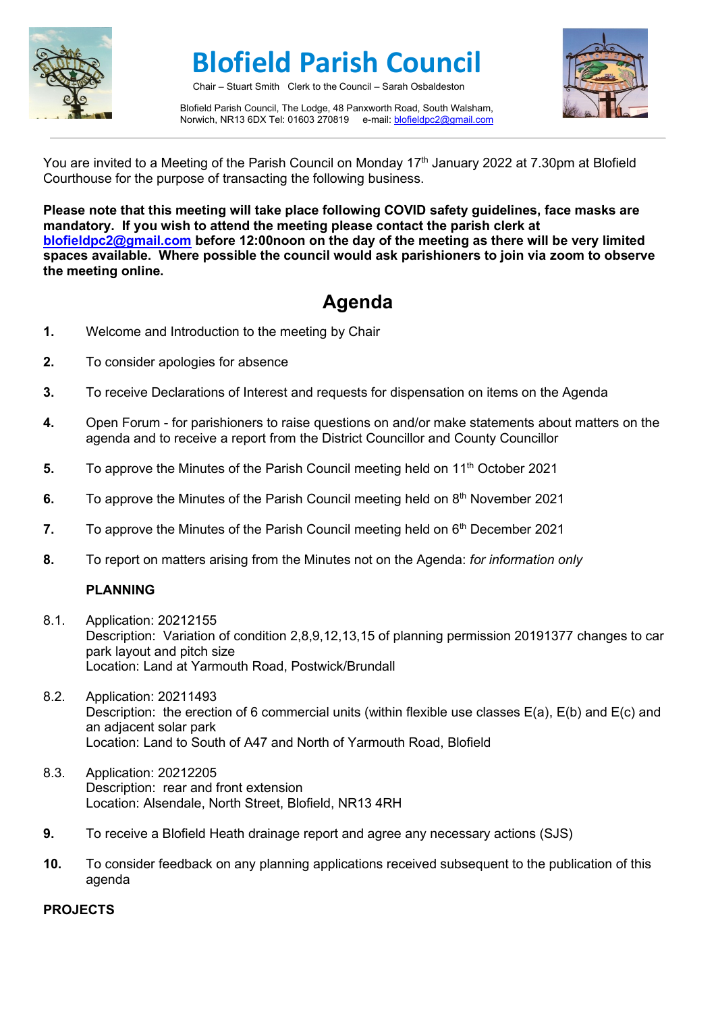

# **Blofield Parish Council**

Chair – Stuart Smith Clerk to the Council – Sarah Osbaldeston

Blofield Parish Council, The Lodge, 48 Panxworth Road, South Walsham, Norwich, NR13 6DX Tel: 01603 270819 e-mail[: blofieldpc2@gmail.com](mailto:blofieldpc2@gmail.com)



You are invited to a Meeting of the Parish Council on Monday 17<sup>th</sup> January 2022 at 7.30pm at Blofield Courthouse for the purpose of transacting the following business.

**Please note that this meeting will take place following COVID safety guidelines, face masks are mandatory. If you wish to attend the meeting please contact the parish clerk at [blofieldpc2@gmail.com](mailto:blofieldpc2@gmail.com) before 12:00noon on the day of the meeting as there will be very limited spaces available. Where possible the council would ask parishioners to join via zoom to observe the meeting online.** 

## **Agenda**

- **1.** Welcome and Introduction to the meeting by Chair
- **2.** To consider apologies for absence
- **3.** To receive Declarations of Interest and requests for dispensation on items on the Agenda
- **4.** Open Forum for parishioners to raise questions on and/or make statements about matters on the agenda and to receive a report from the District Councillor and County Councillor
- **5.** To approve the Minutes of the Parish Council meeting held on 11<sup>th</sup> October 2021
- **6.** To approve the Minutes of the Parish Council meeting held on 8<sup>th</sup> November 2021
- **7.** To approve the Minutes of the Parish Council meeting held on 6<sup>th</sup> December 2021
- **8.** To report on matters arising from the Minutes not on the Agenda: *for information only*

#### **PLANNING**

- 8.1. Application: 20212155 Description: Variation of condition 2,8,9,12,13,15 of planning permission 20191377 changes to car park layout and pitch size Location: Land at Yarmouth Road, Postwick/Brundall
- 8.2. Application: 20211493 Description: the erection of 6 commercial units (within flexible use classes E(a), E(b) and E(c) and an adjacent solar park Location: Land to South of A47 and North of Yarmouth Road, Blofield
- 8.3. Application: 20212205 Description: rear and front extension Location: Alsendale, North Street, Blofield, NR13 4RH
- **9.** To receive a Blofield Heath drainage report and agree any necessary actions (SJS)
- **10.** To consider feedback on any planning applications received subsequent to the publication of this agenda

#### **PROJECTS**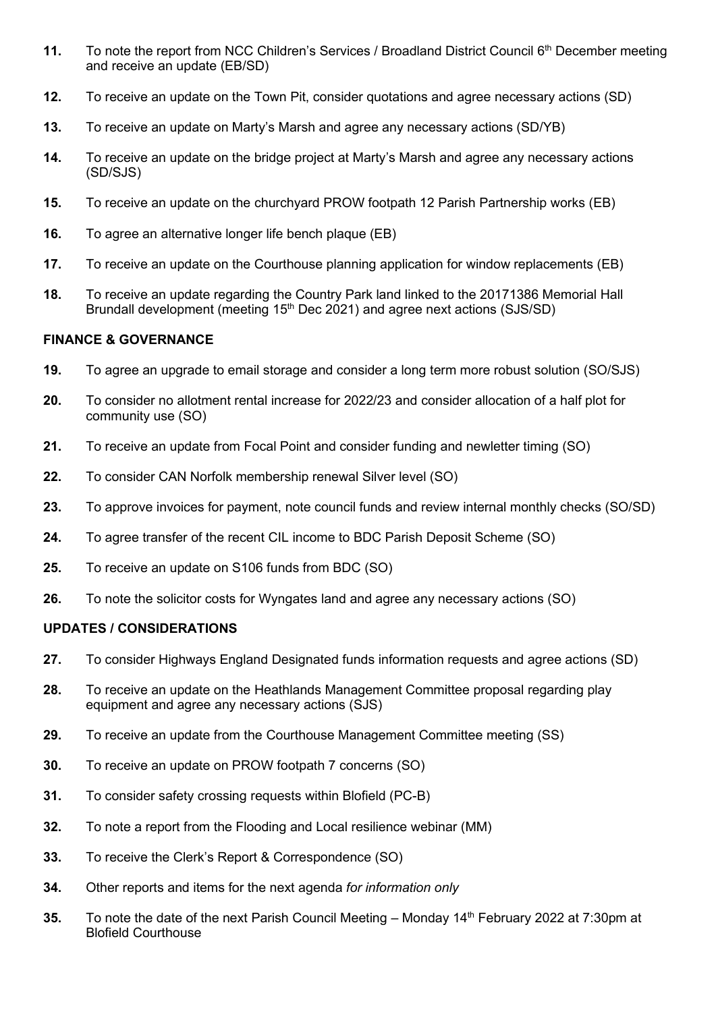- 11. To note the report from NCC Children's Services / Broadland District Council 6<sup>th</sup> December meeting and receive an update (EB/SD)
- **12.** To receive an update on the Town Pit, consider quotations and agree necessary actions (SD)
- **13.** To receive an update on Marty's Marsh and agree any necessary actions (SD/YB)
- **14.** To receive an update on the bridge project at Marty's Marsh and agree any necessary actions (SD/SJS)
- **15.** To receive an update on the churchyard PROW footpath 12 Parish Partnership works (EB)
- **16.** To agree an alternative longer life bench plaque (EB)
- **17.** To receive an update on the Courthouse planning application for window replacements (EB)
- **18.** To receive an update regarding the Country Park land linked to the 20171386 Memorial Hall Brundall development (meeting 15<sup>th</sup> Dec 2021) and agree next actions (SJS/SD)

#### **FINANCE & GOVERNANCE**

- **19.** To agree an upgrade to email storage and consider a long term more robust solution (SO/SJS)
- **20.** To consider no allotment rental increase for 2022/23 and consider allocation of a half plot for community use (SO)
- **21.** To receive an update from Focal Point and consider funding and newletter timing (SO)
- **22.** To consider CAN Norfolk membership renewal Silver level (SO)
- **23.** To approve invoices for payment, note council funds and review internal monthly checks (SO/SD)
- **24.** To agree transfer of the recent CIL income to BDC Parish Deposit Scheme (SO)
- **25.** To receive an update on S106 funds from BDC (SO)
- **26.** To note the solicitor costs for Wyngates land and agree any necessary actions (SO)

### **UPDATES / CONSIDERATIONS**

- **27.** To consider Highways England Designated funds information requests and agree actions (SD)
- **28.** To receive an update on the Heathlands Management Committee proposal regarding play equipment and agree any necessary actions (SJS)
- **29.** To receive an update from the Courthouse Management Committee meeting (SS)
- **30.** To receive an update on PROW footpath 7 concerns (SO)
- **31.** To consider safety crossing requests within Blofield (PC-B)
- **32.** To note a report from the Flooding and Local resilience webinar (MM)
- **33.** To receive the Clerk's Report & Correspondence (SO)
- **34.** Other reports and items for the next agenda *for information only*
- **35.** To note the date of the next Parish Council Meeting Monday 14<sup>th</sup> February 2022 at 7:30pm at Blofield Courthouse